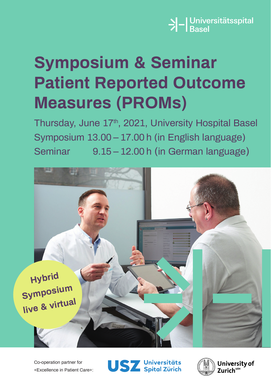

# **Symposium & Seminar Patient Reported Outcome Measures (PROMs)**

Thursday, June 17th, 2021, University Hospital Basel Symposium 13.00 – 17.00 h (in English language) Seminar 9.15 – 12.00 h (in German language)



Co-operation partner for «Excellence in Patient Care»:



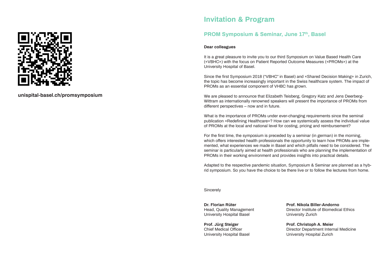

**unispital-basel.ch/promsymposium**

### **Invitation & Program**

### **PROM Symposium & Seminar, June 17th, Basel**

### **Dear colleagues**

It is a great pleasure to invite you to our third Symposium on Value Based Health Care («VBHC») with the focus on Patient Reported Outcome Measures («PROMs») at the University Hospital of Basel.

Since the first Symposium 2018 ("VBHC" in Basel) and «Shared Decision Making» in Zurich, the topic has become increasingly important in the Swiss healthcare system. The impact of PROMs as an essential component of VHBC has grown.

We are pleased to announce that Elizabeth Teisberg, Gregory Katz and Jens Deerberg-Wittram as internationally renowned speakers will present the importance of PROMs from different perspectives – now and in future.

What is the importance of PROMs under ever-changing requirements since the seminal publication «Redefining Healthcare»? How can we systemically assess the individual value of PROMs at the local and national level for costing, pricing and reimbursement?

For the first time, the symposium is preceded by a seminar (in german) in the morning, which offers interested health professionals the opportunity to learn how PROMs are implemented, what experiences we made in Basel and which pitfalls need to be considered. The seminar is particularly aimed at health professionals who are planning the implementation of PROMs in their working environment and provides insights into practical details.

Adapted to the respective pandemic situation, Symposium & Seminar are planned as a hybrid symposium. So you have the choice to be there live or to follow the lectures from home.

**Sincerely** 

University Hospital Basel University Zurich

**Dr. Florian Rüter Prof. Nikola Biller-Andorno** Head, Quality Management Director Institute of Biomedical Ethics

**Prof. Jürg Steiger Prof. Christoph A. Meier** Chief Medical Officer **Director Department Internal Medicine** University Hospital Basel University Hospital Zurich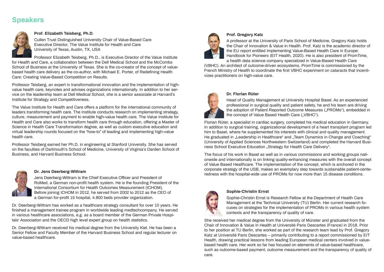# **Speakers**



### **Prof. Elizabeth Teisberg, Ph.D.**

Cullen Trust Distinguished University Chair of Value-Based Care Executive Director, The Value Institute for Health and Care University of Texas, Austin, TX, USA

Professor Elizabeth Teisberg, Ph.D., is Executive Director of the Value Institute for Health and Care, a collaboration between the Dell Medical School and the McCombs School of Business at the University of Texas. She is the co-creator of the concept of valuebased health care delivery as the co-author, with Michael E. Porter, of Redefining Health Care: Creating Value-Based Competition on Results.

Professor Teisberg, an expert in transformational innovation and the implementation of highvalue health care, keynotes and advises organizations internationally. In addition to her service on the leadership team at Dell Medical School, she is a senior associate at Harvard's Institute for Strategy and Competitiveness.

The Value Institute for Health and Care offers a platform for the international community of leaders transforming health care. The Institute conducts research on implementing strategy, culture, measurement and payment to enable high-value health care. The Value Institute for Health and Care also works to transform health care through education, offering a Master of Science in Health Care Transformation degree, as well as custom executive education and virtual leadership rounds focused on the "how-to" of leading and implementing high-value health care.

Professor Teisberg earned her Ph.D. in engineering at Stanford University. She has served on the faculties of Dartmouth's School of Medicine, University of Virginia's Darden School of Business, and Harvard Business School.



### **Dr. Jens Deerberg-Wittram**

Jens Deerberg-Wittram is the Chief Executive Officer and President of RoMed, a German non-profit health system. He is the founding President of the International Consortium for Health Outcomes Measurement (ICHOM). Before joining ICHOM in 2012, he served from 2002 to 2012 as the CEO of a German for-profit 15 hospital, 4.800 beds provider organization.

Dr. Deerberg-Wittram has worked as a healthcare strategy consultant for over 10 years. He finished a management trainee program in worldwide leading medtechcompany. He served in various healthcare associations, e.g. as a board member of the German Private Hospitals' Association and the OECD high level expert group on health statistics.

Dr. Deerberg-Wittram received his medical degree from the University Kiel. He has been a Senior Fellow and Faculty Member of the Harvard Business School and regular lecturer on value-based healthcare.



### **Prof. Gregory Katz**

A professor at the University of Paris School of Medicine, Gregory Katz holds the Chair of Innovation & Value in Health. Prof. Katz is the academic director of the EU report entitled Implementing Value-Based Health Care in Europe: Handbook for Pioneers (EIT Health, 2020). He is also president of PromTime, a health data science company specialized in Value-Based Health Care

(VBHC). An architect of outcome-driven ecosystems, PromTime is commissioned by the French Ministry of Health to coordinate the first VBHC experiment on cataracts that incentivizes practitioners on high-value care.



### **Dr. Florian Rüter**

Head of Quality Management at University Hospital Basel. As an experienced professional in surgical quality and patient safety, he and his team are driving the adoption of Patient Reported Outcome Measures ("PROMs"), embedded in the concept of Value Based Health Care ("VBHC").

Florian Rüter, a specialist in cardiac surgery, completed his medical education in Germany. In addition to surgical training, organizational development of a heart transplant program led him to Basel, where he supplemented his interests with clinical and quality management. He graduated in "Leadership in Healthcare" and "Team Dynamics in Change and Coaching" (University of Applied Sciences Northwestern Switzerland) and completed the Harvard Business School Executive Education "Strategy for Health Care Delivery".

The focus of his work in Basel as well as in various commissions and working groups nationwide and internationally is on linking quality-enhancing measures with the overall concept of Value Based Healthcare. The implementation of the concept, which is anchored in the corporate strategy of the USB, makes an exemplary step towards sustainable patient-centeredness with the hospital-wide use of PROMs for now more than 15 disease conditions.



### **Sophie-Christin Ernst**

Sophie-Christin Ernst is Research Fellow at the Department of Health Care Management at the Technical University (TU) Berlin. Her current research focuses on strategies for the implementation of PROMs in various health system contexts and the transparency of quality of care.

She received her medical degree from the University of Münster and graduated from the Chair of Innovation & Value in Health at Université Paris Descartes (France) in 2018. Prior to her position at TU Berlin, she worked as part of the research team lead by Prof. Gregory Katz at Université Paris Descartes – primarily contributing to a report commissioned by EIT Health, drawing practical lessons from leading European medical centers involved in valuebased health care. Her work so far has focused on elements of value-based healthcare, such as outcome-based payment, outcome measurement and the transparency of quality of care.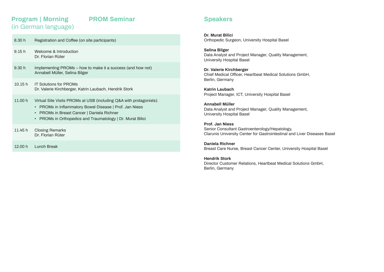## **Program | Morning PROM Seminar**  (in German language)

| 8.30h   | Registration and Coffee (on site participants)                                                                                                                                                                                                            |
|---------|-----------------------------------------------------------------------------------------------------------------------------------------------------------------------------------------------------------------------------------------------------------|
| 9.15h   | Welcome & Introduction<br>Dr. Florian Rüter                                                                                                                                                                                                               |
| 9.30h   | Implementing PROMs – how to make it a success (and how not)<br>Annabell Müller, Selina Bilger                                                                                                                                                             |
| 10.15h  | <b>IT Solutions for PROMs</b><br>Dr. Valerie Kirchberger, Katrin Laubach, Hendrik Stork                                                                                                                                                                   |
| 11.00 h | Virtual Site Visits PROMs at USB (including Q&A with protagonists):<br><b>PROMs in Inflammatory Bowel Disease   Prof. Jan Niess</b><br><b>PROMs in Breast Cancer   Daniela Richner</b><br><b>PROMs in Orthopedics and Traumatology   Dr. Murat Bilici</b> |
| 11.45 h | <b>Closing Remarks</b><br>Dr. Florian Rüter                                                                                                                                                                                                               |
| 12.00 h | Lunch Break                                                                                                                                                                                                                                               |

### **Speakers**

**Dr. Murat Bilici** Orthopedic Surgeon, University Hospital Basel

**Selina Bilger** Data Analyst and Project Manager, Quality Management, University Hospital Basel

**Dr. Valerie Kirchberger** Chief Medical Officer, Heartbeat Medical Solutions GmbH, Berlin, Germany

**Katrin Laubach** Project Manager, ICT, University Hospital Basel

**Annabell Müller** Data Analyst and Project Manager, Quality Management, University Hospital Basel

**Prof. Jan Niess** Senior Consultant Gastroenterology/Hepatology, Clarunis University Center for Gastrointestinal and Liver Diseases Basel

**Daniela Richner** Breast Care Nurse, Breast Cancer Center, University Hospital Basel

### **Hendrik Stork**

Director Customer Relations, Heartbeat Medical Solutions GmbH, Berlin, Germany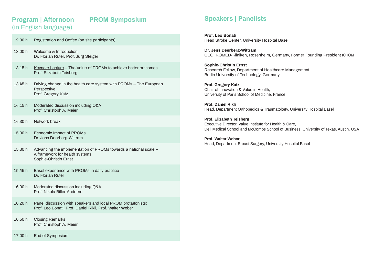# **Program | Afternoon PROM Symposium**  (in English language)

# 12.30 h Registration and Coffee (on site participants) 13.00 h Welcome & Introduction Dr. Florian Rüter, Prof. Jürg Steiger 13.15 h Keynote Lecture – The Value of PROMs to achieve better outcomes Prof. Elizabeth Teisberg 13.45 h Driving change in the health care system with PROMs – The European Perspective Prof. Gregory Katz 14.15 h Moderated discussion including Q&A Prof. Christoph A. Meier 14.30 h Network break 15.00 h Economic Impact of PROMs Dr. Jens Deerberg-Wittram 15.30 h Advancing the implementation of PROMs towards a national scale – A framework for health systems Sophie-Christin Ernst 15.45 h Basel experience with PROMs in daily practice Dr. Florian Rüter 16.00 h Moderated discussion including Q&A Prof. Nikola Biller-Andorno 16.20 h Panel discussion with speakers and local PROM protagonists: Prof. Leo Bonati, Prof. Daniel Rikli, Prof. Walter Weber 16.50 h Closing Remarks Prof. Christoph A. Meier

17.00 h End of Symposium

# **Speakers | Panelists**

**Prof. Leo Bonati** Head Stroke Center, University Hospital Basel

**Dr. Jens Deerberg-Wittram** CEO, ROMED-Kliniken, Rosenheim, Germany, Former Founding President ICHOM

**Sophie-Christin Ernst** Research Fellow, Department of Healthcare Management, Berlin University of Technology, Germany

**Prof. Gregory Katz** Chair of Innovation & Value in Health, University of Paris School of Medicine, France

**Prof. Daniel Rikli** Head, Department Orthopedics & Traumatology, University Hospital Basel

**Prof. Elizabeth Teisberg** Executive Director, Value Institute for Health & Care, Dell Medical School and McCombs School of Business, University of Texas, Austin, USA

**Prof. Walter Weber** Head, Department Breast Surgery, University Hospital Basel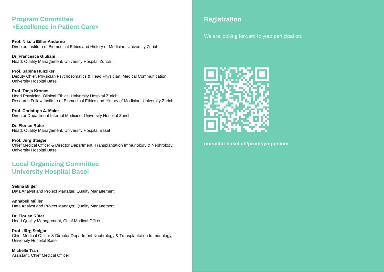# **Program Committee «Excellence in Patient Care»**

**Prof. Nikola Biller-Andorno** Director, Institute of Biomedical Ethics and History of Medicine, University Zurich

**Dr. Francesca Giuliani** Head, Quality Management, University Hospital Zurich

**Prof. Sabina Hunziker** Deputy Chief, Physician Psychosomatics & Head Physician, Medical Communication, University Hospital Basel

**Prof. Tanja Krones** Head Physician, Clinical Ethics, University Hospital Zurich Research Fellow Institute of Biomedical Ethics and History of Medicine, University Zurich

**Prof. Christoph A. Meier** Director Department Internal Medicine, University Hospital Zurich

**Dr. Florian Rüter** Head, Quality Management, University Hospital Basel

**Prof. Jürg Steiger** Chief Medical Officer & Director Department, Transplantation Immunology & Nephrology, University Hospital Basel

# **Local Organizing Committee University Hospital Basel**

**Selina Bilger** Data Analyst and Project Manager, Quality Management

**Annabell Müller** Data Analyst and Project Manager, Quality Management

**Dr. Florian Rüter** Head Quality Management, Chief Medical Office

**Prof. Jürg Steiger** Chief Medical Officer & Director Department Nephrology & Transplantation Immunology, University Hospital Basel

**Michelle Tran** Assistant, Chief Medical Officer

# **Registration**

We are looking forward to your participation.



**unispital-basel.ch/promsymposium**